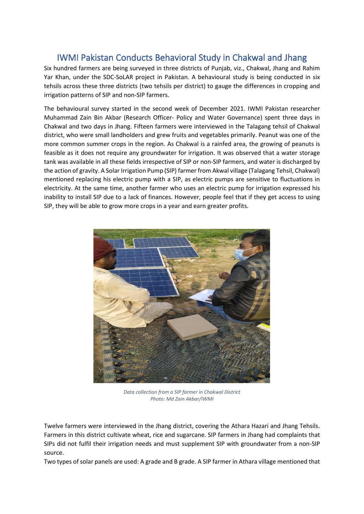## IWMI Pakistan Conducts Behavioral Study in Chakwal and Jhang

Six hundred farmers are being surveyed in three districts of Punjab, viz., Chakwal, Jhang and Rahim Yar Khan, under the SDC-SoLAR project in Pakistan. A behavioural study is being conducted in six tehsils across these three districts (two tehsils per district) to gauge the differences in cropping and irrigation patterns of SIP and non-SIP farmers.

The behavioural survey started in the second week of December 2021. IWMI Pakistan researcher Muhammad Zain Bin Akbar (Research Officer- Policy and Water Governance) spent three days in Chakwal and two days in Jhang. Fifteen farmers were interviewed in the Talagang tehsil of Chakwal district, who were small landholders and grew fruits and vegetables primarily. Peanut was one of the more common summer crops in the region. As Chakwal is a rainfed area, the growing of peanuts is feasible as it does not require any groundwater for irrigation. It was observed that a water storage tank was available in all these fields irrespective of SIP or non-SIP farmers, and water is discharged by the action of gravity. A Solar Irrigation Pump (SIP) farmer from Akwal village (Talagang Tehsil, Chakwal) mentioned replacing his electric pump with a SIP, as electric pumps are sensitive to fluctuations in electricity. At the same time, another farmer who uses an electric pump for irrigation expressed his inability to install SIP due to a lack of finances. However, people feel that if they get access to using SIP, they will be able to grow more crops in a year and earn greater profits.



*Data collection from a SIP farmer in Chakwal District Photo: Md Zain Akbar/IWMI*

Twelve farmers were interviewed in the Jhang district, covering the Athara Hazari and Jhang Tehsils. Farmers in this district cultivate wheat, rice and sugarcane. SIP farmers in Jhang had complaints that SIPs did not fulfil their irrigation needs and must supplement SIP with groundwater from a non-SIP source.

Two types of solar panels are used: A grade and B grade. A SIP farmer in Athara village mentioned that